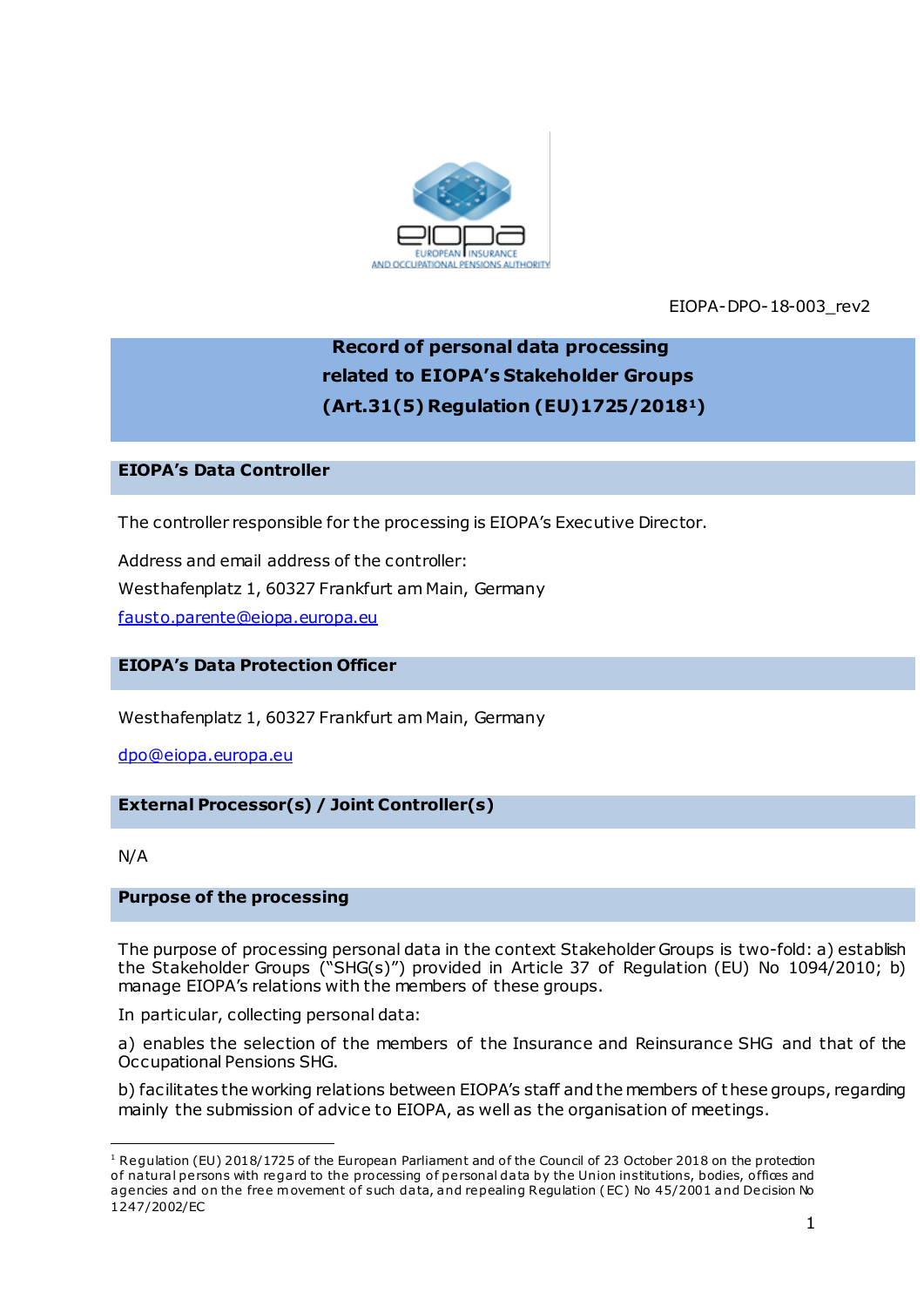

EIOPA-DPO-18-003\_rev2

# **Record of personal data processing related to EIOPA's Stakeholder Groups (Art.31(5) Regulation (EU)1725/20181)**

# **EIOPA's Data Controller**

The controller responsible for the processing is EIOPA's Executive Director.

Address and email address of the controller: Westhafenplatz 1, 60327 Frankfurt am Main, Germany [fausto.parente@eiopa.europa.eu](mailto:fausto.parente@eiopa.europa.eu)

# **EIOPA's Data Protection Officer**

Westhafenplatz 1, 60327 Frankfurt am Main, Germany

[dpo@eiopa.europa.eu](mailto:dpo@eiopa.europa.eu)

## **External Processor(s) / Joint Controller(s)**

N/A

.

## **Purpose of the processing**

The purpose of processing personal data in the context Stakeholder Groups is two-fold: a) establish the Stakeholder Groups ("SHG(s)") provided in Article 37 of Regulation (EU) No 1094/2010; b) manage EIOPA's relations with the members of these groups.

In particular, collecting personal data:

a) enables the selection of the members of the Insurance and Reinsurance SHG and that of the Occupational Pensions SHG.

b) facilitates the working relations between EIOPA's staff and the members of these groups, regarding mainly the submission of advice to EIOPA, as well as the organisation of meetings.

<sup>&</sup>lt;sup>1</sup> Regulation (EU) 2018/1725 of the European Parliament and of the Council of 23 October 2018 on the protection of natural persons with regard to the processing of personal data by the Union institutions, bodies, offices and agencies and on the free movement of such data, and repealing Regulation (EC) No 45/2001 and Decision No 1247/2002/EC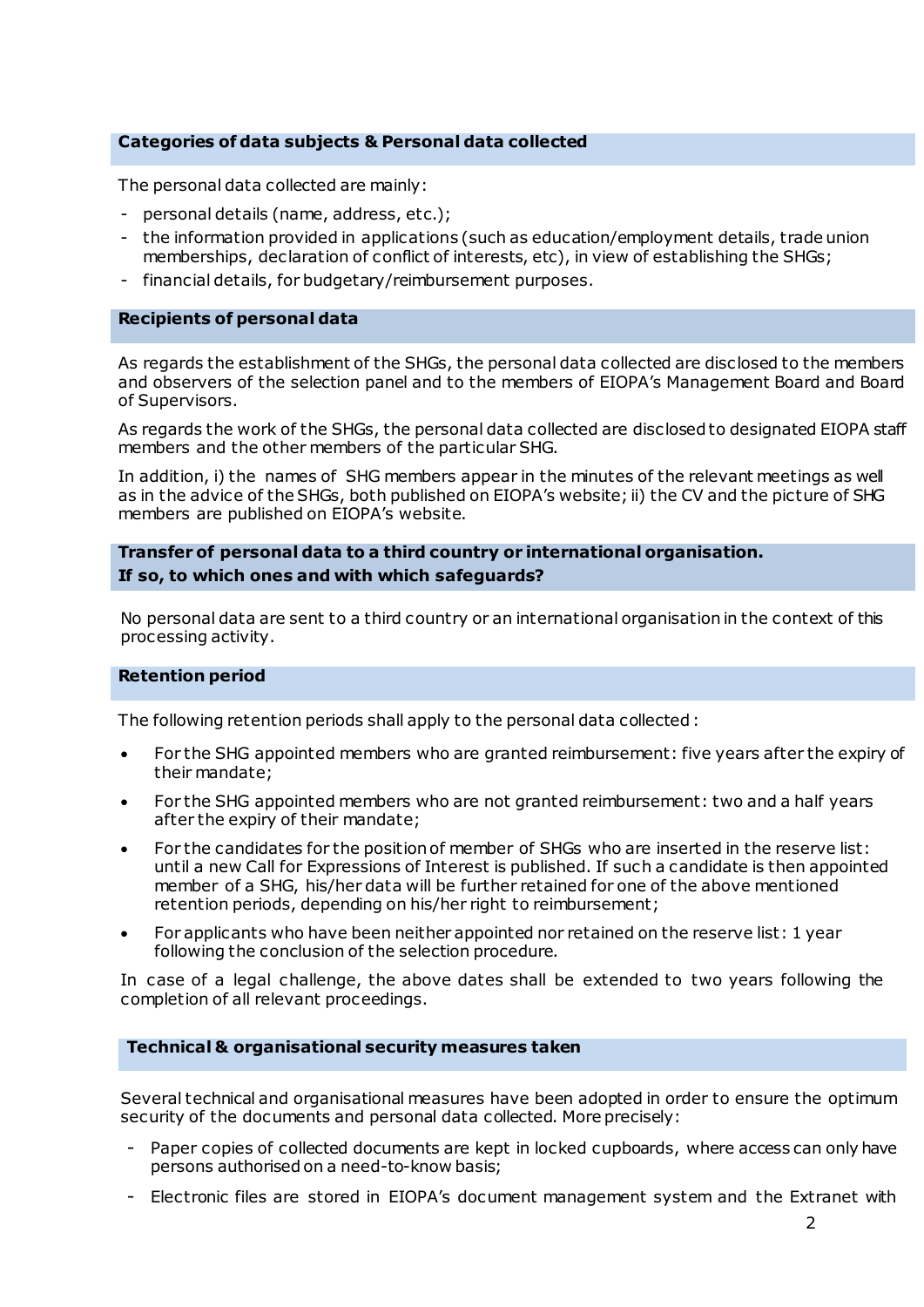# **Categories of data subjects & Personal data collected**

The personal data collected are mainly:

- personal details (name, address, etc.);
- the information provided in applications (such as education/employment details, trade union memberships, declaration of conflict of interests, etc), in view of establishing the SHGs;
- financial details, for budgetary/reimbursement purposes.

## **Recipients of personal data**

As regards the establishment of the SHGs, the personal data collected are disclosed to the members and observers of the selection panel and to the members of EIOPA's Management Board and Board of Supervisors.

As regards the work of the SHGs, the personal data collected are disclosed to designated EIOPA staff members and the other members of the particular SHG.

In addition, i) the names of SHG members appear in the minutes of the relevant meetings as well as in the advice of the SHGs, both published on EIOPA's website; ii) the CV and the picture of SHG members are published on EIOPA's website.

**Transfer of personal data to a third country or international organisation. If so, to which ones and with which safeguards?**

No personal data are sent to a third country or an international organisation in the context of this processing activity.

## **Retention period**

The following retention periods shall apply to the personal data collected :

- For the SHG appointed members who are granted reimbursement: five years after the expiry of their mandate;
- For the SHG appointed members who are not granted reimbursement: two and a half years after the expiry of their mandate;
- For the candidates for the position of member of SHGs who are inserted in the reserve list: until a new Call for Expressions of Interest is published. If such a candidate is then appointed member of a SHG, his/her data will be further retained for one of the above mentioned retention periods, depending on his/her right to reimbursement;
- For applicants who have been neither appointed nor retained on the reserve list: 1 year following the conclusion of the selection procedure.

In case of a legal challenge, the above dates shall be extended to two years following the completion of all relevant proceedings.

## **Technical & organisational security measures taken**

Several technical and organisational measures have been adopted in order to ensure the optimum security of the documents and personal data collected. More precisely:

- Paper copies of collected documents are kept in locked cupboards, where access can only have persons authorised on a need-to-know basis;
- Electronic files are stored in EIOPA's document management system and the Extranet with